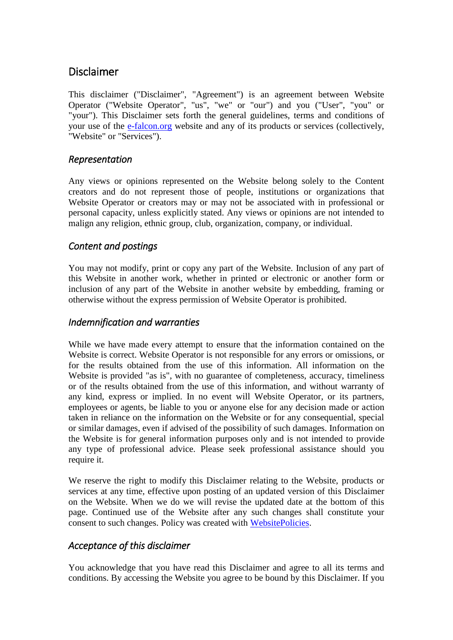# Disclaimer

This disclaimer ("Disclaimer", "Agreement") is an agreement between Website Operator ("Website Operator", "us", "we" or "our") and you ("User", "you" or "your"). This Disclaimer sets forth the general guidelines, terms and conditions of your use of the [e-falcon.org](https://e-falcon.org/) website and any of its products or services (collectively, "Website" or "Services").

### *Representation*

Any views or opinions represented on the Website belong solely to the Content creators and do not represent those of people, institutions or organizations that Website Operator or creators may or may not be associated with in professional or personal capacity, unless explicitly stated. Any views or opinions are not intended to malign any religion, ethnic group, club, organization, company, or individual.

## *Content and postings*

You may not modify, print or copy any part of the Website. Inclusion of any part of this Website in another work, whether in printed or electronic or another form or inclusion of any part of the Website in another website by embedding, framing or otherwise without the express permission of Website Operator is prohibited.

### *Indemnification and warranties*

While we have made every attempt to ensure that the information contained on the Website is correct. Website Operator is not responsible for any errors or omissions, or for the results obtained from the use of this information. All information on the Website is provided "as is", with no guarantee of completeness, accuracy, timeliness or of the results obtained from the use of this information, and without warranty of any kind, express or implied. In no event will Website Operator, or its partners, employees or agents, be liable to you or anyone else for any decision made or action taken in reliance on the information on the Website or for any consequential, special or similar damages, even if advised of the possibility of such damages. Information on the Website is for general information purposes only and is not intended to provide any type of professional advice. Please seek professional assistance should you require it.

We reserve the right to modify this Disclaimer relating to the Website, products or services at any time, effective upon posting of an updated version of this Disclaimer on the Website. When we do we will revise the updated date at the bottom of this page. Continued use of the Website after any such changes shall constitute your consent to such changes. Policy was created with [WebsitePolicies.](https://www.websitepolicies.com/disclaimer-generator)

#### *Acceptance of this disclaimer*

You acknowledge that you have read this Disclaimer and agree to all its terms and conditions. By accessing the Website you agree to be bound by this Disclaimer. If you